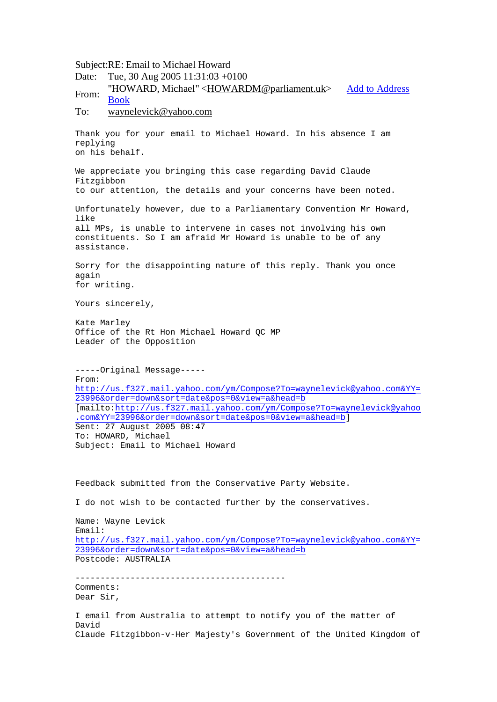Subject:RE: Email to Michael Howard Date: Tue, 30 Aug 2005 11:31:03 +0100 From: "HOWARD, Michael" <[HOWARDM@parliament.uk](mailto:HOWARDM@parliament.uk)> Add to Address Book To: [waynelevick@yahoo.com](mailto:waynelevick@yahoo.com) Thank you for your email to Michael Howard. In his absence I am replying on his behalf. We appreciate you bringing this case regarding David Claude Fitzgibbon to our attention, the details and your concerns have been noted. Unfortunately however, due to a Parliamentary Convention Mr Howard, like all MPs, is unable to intervene in cases not involving his own constituents. So I am afraid Mr Howard is unable to be of any assistance. Sorry for the disappointing nature of this reply. Thank you once again for writing. Yours sincerely, Kate Marley Office of the Rt Hon Michael Howard QC MP Leader of the Opposition -----Original Message----- From: <http://us.f327.mail.yahoo.com/ym/Compose?To=waynelevick@yahoo.com&YY>= 23996&order=down&sort=date&pos=0&view=a&head=b [mailto[:http://us.f327.mail.yahoo.com/ym/Compose?To=waynelevick@yahoo](http://us.f327.mail.yahoo.com/ym/Compose?To=waynelevick@yahoo) .com&YY=23996&order=down&sort=date&pos=0&view=a&head=b] Sent: 27 August 2005 08:47 To: HOWARD, Michael Subject: Email to Michael Howard Feedback submitted from the Conservative Party Website. I do not wish to be contacted further by the conservatives. Name: Wayne Levick Email: <http://us.f327.mail.yahoo.com/ym/Compose?To=waynelevick@yahoo.com&YY>= 23996&order=down&sort=date&pos=0&view=a&head=b Postcode: AUSTRALIA ------------------------------------------ Comments: Dear Sir, I email from Australia to attempt to notify you of the matter of David Claude Fitzgibbon-v-Her Majesty's Government of the United Kingdom of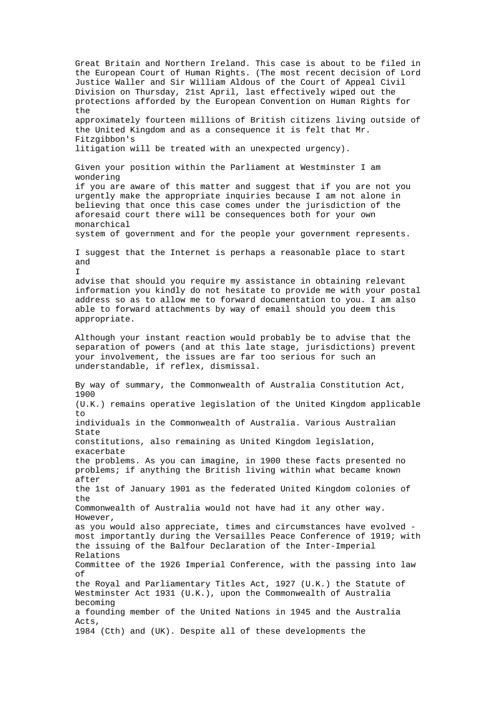Great Britain and Northern Ireland. This case is about to be filed in the European Court of Human Rights. (The most recent decision of Lord Justice Waller and Sir William Aldous of the Court of Appeal Civil Division on Thursday, 21st April, last effectively wiped out the protections afforded by the European Convention on Human Rights for the approximately fourteen millions of British citizens living outside of the United Kingdom and as a consequence it is felt that Mr. Fitzgibbon's litigation will be treated with an unexpected urgency). Given your position within the Parliament at Westminster I am wondering if you are aware of this matter and suggest that if you are not you urgently make the appropriate inquiries because I am not alone in believing that once this case comes under the jurisdiction of the aforesaid court there will be consequences both for your own monarchical system of government and for the people your government represents. I suggest that the Internet is perhaps a reasonable place to start and I advise that should you require my assistance in obtaining relevant information you kindly do not hesitate to provide me with your postal address so as to allow me to forward documentation to you. I am also able to forward attachments by way of email should you deem this appropriate. Although your instant reaction would probably be to advise that the separation of powers (and at this late stage, jurisdictions) prevent your involvement, the issues are far too serious for such an understandable, if reflex, dismissal. By way of summary, the Commonwealth of Australia Constitution Act, 1900 (U.K.) remains operative legislation of the United Kingdom applicable to individuals in the Commonwealth of Australia. Various Australian State constitutions, also remaining as United Kingdom legislation, exacerbate the problems. As you can imagine, in 1900 these facts presented no problems; if anything the British living within what became known after the 1st of January 1901 as the federated United Kingdom colonies of the Commonwealth of Australia would not have had it any other way. However, as you would also appreciate, times and circumstances have evolved most importantly during the Versailles Peace Conference of 1919; with the issuing of the Balfour Declaration of the Inter-Imperial Relations Committee of the 1926 Imperial Conference, with the passing into law  $\cap$ f the Royal and Parliamentary Titles Act, 1927 (U.K.) the Statute of Westminster Act 1931 (U.K.), upon the Commonwealth of Australia becoming a founding member of the United Nations in 1945 and the Australia Acts, 1984 (Cth) and (UK). Despite all of these developments the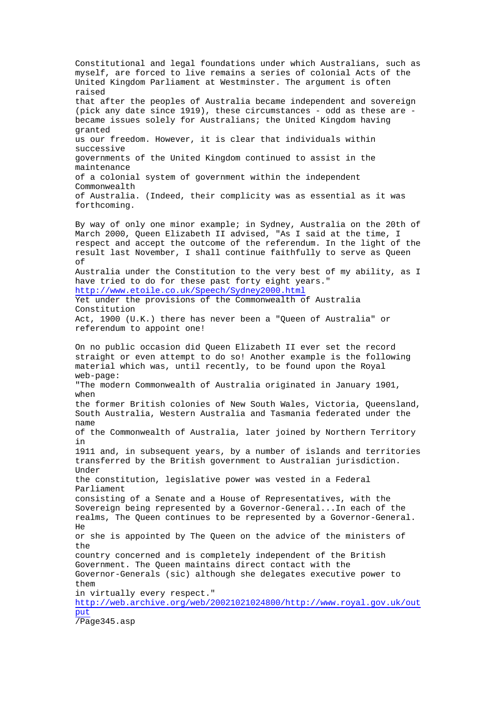Constitutional and legal foundations under which Australians, such as myself, are forced to live remains a series of colonial Acts of the United Kingdom Parliament at Westminster. The argument is often raised that after the peoples of Australia became independent and sovereign (pick any date since 1919), these circumstances - odd as these are became issues solely for Australians; the United Kingdom having granted us our freedom. However, it is clear that individuals within successive governments of the United Kingdom continued to assist in the maintenance of a colonial system of government within the independent Commonwealth of Australia. (Indeed, their complicity was as essential as it was forthcoming. By way of only one minor example; in Sydney, Australia on the 20th of March 2000, Queen Elizabeth II advised, "As I said at the time, I respect and accept the outcome of the referendum. In the light of the result last November, I shall continue faithfully to serve as Queen of Australia under the Constitution to the very best of my ability, as I have tried to do for these past forty eight years." <http://www.etoile.co.uk/Speech/Sydney2000.html> Yet under the provisions of the Commonwealth of Australia Constitution Act, 1900 (U.K.) there has never been a "Queen of Australia" or referendum to appoint one! On no public occasion did Queen Elizabeth II ever set the record straight or even attempt to do so! Another example is the following material which was, until recently, to be found upon the Royal web-page: "The modern Commonwealth of Australia originated in January 1901, when the former British colonies of New South Wales, Victoria, Queensland, South Australia, Western Australia and Tasmania federated under the name of the Commonwealth of Australia, later joined by Northern Territory in 1911 and, in subsequent years, by a number of islands and territories transferred by the British government to Australian jurisdiction. Under the constitution, legislative power was vested in a Federal Parliament consisting of a Senate and a House of Representatives, with the Sovereign being represented by a Governor-General...In each of the realms, The Queen continues to be represented by a Governor-General. He or she is appointed by The Queen on the advice of the ministers of the country concerned and is completely independent of the British Government. The Queen maintains direct contact with the Governor-Generals (sic) although she delegates executive power to them in virtually every respect." <http://web.archive.org/web/20021021024800/http://www.royal.gov.uk/out> put /Page345.asp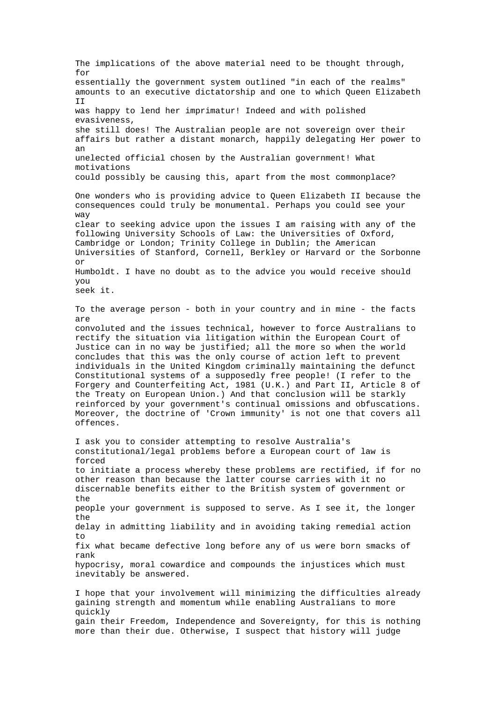The implications of the above material need to be thought through, for essentially the government system outlined "in each of the realms" amounts to an executive dictatorship and one to which Queen Elizabeth II was happy to lend her imprimatur! Indeed and with polished evasiveness, she still does! The Australian people are not sovereign over their affairs but rather a distant monarch, happily delegating Her power to an unelected official chosen by the Australian government! What motivations could possibly be causing this, apart from the most commonplace? One wonders who is providing advice to Queen Elizabeth II because the consequences could truly be monumental. Perhaps you could see your way clear to seeking advice upon the issues I am raising with any of the following University Schools of Law: the Universities of Oxford, Cambridge or London; Trinity College in Dublin; the American Universities of Stanford, Cornell, Berkley or Harvard or the Sorbonne or Humboldt. I have no doubt as to the advice you would receive should you seek it. To the average person - both in your country and in mine - the facts are convoluted and the issues technical, however to force Australians to rectify the situation via litigation within the European Court of Justice can in no way be justified; all the more so when the world concludes that this was the only course of action left to prevent individuals in the United Kingdom criminally maintaining the defunct Constitutional systems of a supposedly free people! (I refer to the Forgery and Counterfeiting Act, 1981 (U.K.) and Part II, Article 8 of the Treaty on European Union.) And that conclusion will be starkly reinforced by your government's continual omissions and obfuscations. Moreover, the doctrine of 'Crown immunity' is not one that covers all offences. I ask you to consider attempting to resolve Australia's constitutional/legal problems before a European court of law is forced to initiate a process whereby these problems are rectified, if for no other reason than because the latter course carries with it no discernable benefits either to the British system of government or the people your government is supposed to serve. As I see it, the longer the delay in admitting liability and in avoiding taking remedial action to fix what became defective long before any of us were born smacks of rank hypocrisy, moral cowardice and compounds the injustices which must inevitably be answered. I hope that your involvement will minimizing the difficulties already gaining strength and momentum while enabling Australians to more quickly gain their Freedom, Independence and Sovereignty, for this is nothing

more than their due. Otherwise, I suspect that history will judge